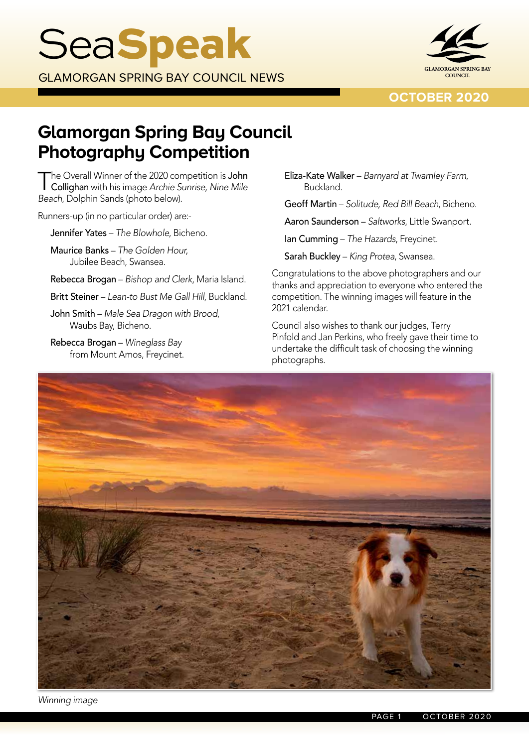

**OCTOBER 2020**

# **Glamorgan Spring Bay Council Photography Competition**

The Overall Winner of the 2020 competition is John Collighan with his image *Archie Sunrise, Nine Mile Beach*, Dolphin Sands (photo below).

Runners-up (in no particular order) are:-

Jennifer Yates – *The Blowhole*, Bicheno.

Maurice Banks – *The Golden Hour*, Jubilee Beach, Swansea.

Rebecca Brogan – *Bishop and Clerk*, Maria Island.

Britt Steiner – *Lean-to Bust Me Gall Hill*, Buckland.

John Smith – *Male Sea Dragon with Brood*, Waubs Bay, Bicheno.

Rebecca Brogan – *Wineglass Bay* from Mount Amos, Freycinet. Eliza-Kate Walker – *Barnyard at Twamley Farm*, Buckland.

Geoff Martin – *Solitude, Red Bill Beach*, Bicheno.

Aaron Saunderson – *Saltworks*, Little Swanport.

Ian Cumming – *The Hazards*, Freycinet.

Sarah Buckley – *King Protea*, Swansea.

Congratulations to the above photographers and our thanks and appreciation to everyone who entered the competition. The winning images will feature in the 2021 calendar.

Council also wishes to thank our judges, Terry Pinfold and Jan Perkins, who freely gave their time to undertake the difficult task of choosing the winning photographs.



*Winning image*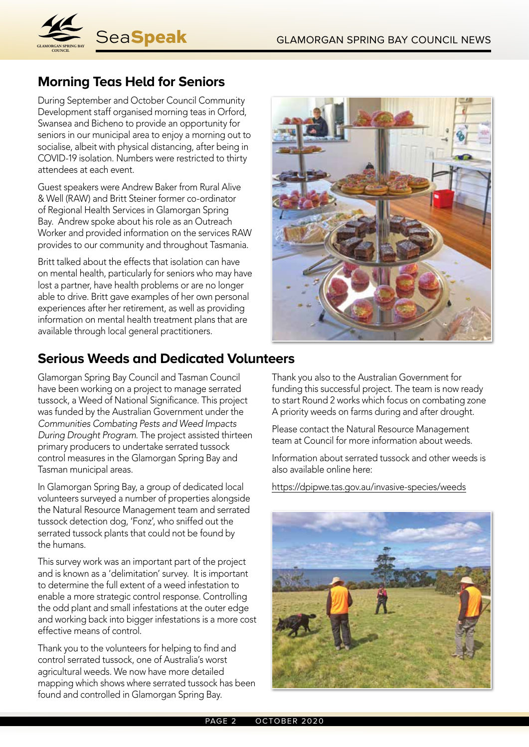

## **Morning Teas Held for Seniors**

During September and October Council Community Development staff organised morning teas in Orford, Swansea and Bicheno to provide an opportunity for seniors in our municipal area to enjoy a morning out to socialise, albeit with physical distancing, after being in COVID-19 isolation. Numbers were restricted to thirty attendees at each event.

Guest speakers were Andrew Baker from Rural Alive & Well (RAW) and Britt Steiner former co-ordinator of Regional Health Services in Glamorgan Spring Bay. Andrew spoke about his role as an Outreach Worker and provided information on the services RAW provides to our community and throughout Tasmania.

Britt talked about the effects that isolation can have on mental health, particularly for seniors who may have lost a partner, have health problems or are no longer able to drive. Britt gave examples of her own personal experiences after her retirement, as well as providing information on mental health treatment plans that are available through local general practitioners.



## **Serious Weeds and Dedicated Volunteers**

Glamorgan Spring Bay Council and Tasman Council have been working on a project to manage serrated tussock, a Weed of National Significance. This project was funded by the Australian Government under the *Communities Combating Pests and Weed Impacts During Drought Program*. The project assisted thirteen primary producers to undertake serrated tussock control measures in the Glamorgan Spring Bay and Tasman municipal areas.

In Glamorgan Spring Bay, a group of dedicated local volunteers surveyed a number of properties alongside the Natural Resource Management team and serrated tussock detection dog, 'Fonz', who sniffed out the serrated tussock plants that could not be found by the humans.

This survey work was an important part of the project and is known as a 'delimitation' survey. It is important to determine the full extent of a weed infestation to enable a more strategic control response. Controlling the odd plant and small infestations at the outer edge and working back into bigger infestations is a more cost effective means of control.

Thank you to the volunteers for helping to find and control serrated tussock, one of Australia's worst agricultural weeds. We now have more detailed mapping which shows where serrated tussock has been found and controlled in Glamorgan Spring Bay.

Thank you also to the Australian Government for funding this successful project. The team is now ready to start Round 2 works which focus on combating zone A priority weeds on farms during and after drought.

Please contact the Natural Resource Management team at Council for more information about weeds.

Information about serrated tussock and other weeds is also available online here:

https://dpipwe.tas.gov.au/invasive-species/weeds

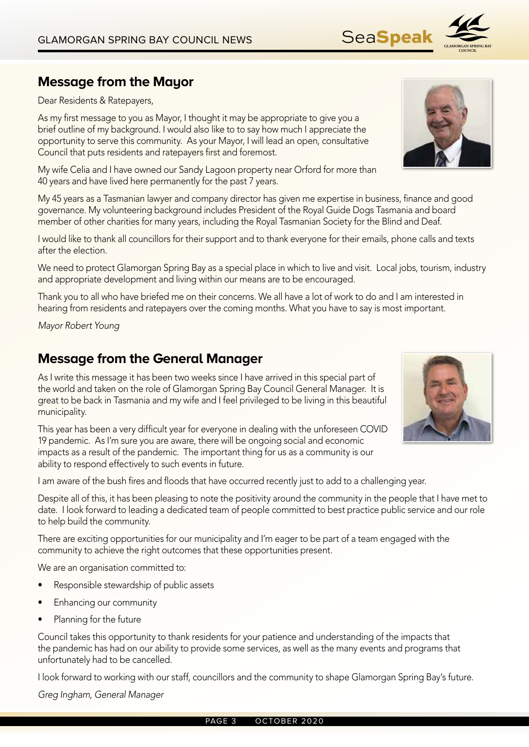## **Message from the Mayor**

Dear Residents & Ratepayers,

As my first message to you as Mayor, I thought it may be appropriate to give you a brief outline of my background. I would also like to to say how much I appreciate the opportunity to serve this community. As your Mayor, I will lead an open, consultative Council that puts residents and ratepayers first and foremost.

My wife Celia and I have owned our Sandy Lagoon property near Orford for more than 40 years and have lived here permanently for the past 7 years.

My 45 years as a Tasmanian lawyer and company director has given me expertise in business, finance and good governance. My volunteering background includes President of the Royal Guide Dogs Tasmania and board member of other charities for many years, including the Royal Tasmanian Society for the Blind and Deaf.

I would like to thank all councillors for their support and to thank everyone for their emails, phone calls and texts after the election.

We need to protect Glamorgan Spring Bay as a special place in which to live and visit. Local jobs, tourism, industry and appropriate development and living within our means are to be encouraged.

Thank you to all who have briefed me on their concerns. We all have a lot of work to do and I am interested in hearing from residents and ratepayers over the coming months. What you have to say is most important.

*Mayor Robert Young*

## **Message from the General Manager**

As I write this message it has been two weeks since I have arrived in this special part of the world and taken on the role of Glamorgan Spring Bay Council General Manager. It is great to be back in Tasmania and my wife and I feel privileged to be living in this beautiful municipality.

This year has been a very difficult year for everyone in dealing with the unforeseen COVID 19 pandemic. As I'm sure you are aware, there will be ongoing social and economic impacts as a result of the pandemic. The important thing for us as a community is our ability to respond effectively to such events in future.

I am aware of the bush fires and floods that have occurred recently just to add to a challenging year.

Despite all of this, it has been pleasing to note the positivity around the community in the people that I have met to date. I look forward to leading a dedicated team of people committed to best practice public service and our role to help build the community.

There are exciting opportunities for our municipality and I'm eager to be part of a team engaged with the community to achieve the right outcomes that these opportunities present.

We are an organisation committed to:

- Responsible stewardship of public assets
- Enhancing our community
- Planning for the future

Council takes this opportunity to thank residents for your patience and understanding of the impacts that the pandemic has had on our ability to provide some services, as well as the many events and programs that unfortunately had to be cancelled.

I look forward to working with our staff, councillors and the community to shape Glamorgan Spring Bay's future.

*Greg Ingham, General Manager*





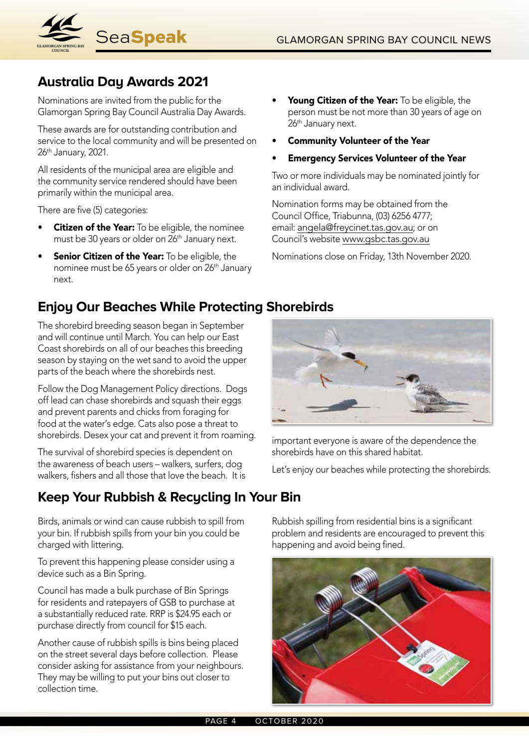

## **Australia Day Awards 2021**

Nominations are invited from the public for the Glamorgan Spring Bay Council Australia Day Awards.

These awards are for outstanding contribution and service to the local community and will be presented on 26<sup>th</sup> January, 2021.

All residents of the municipal area are eligible and the community service rendered should have been primarily within the municipal area.

There are five (5) categories:

- **Citizen of the Year:** To be eligible, the nominee must be 30 years or older on 26<sup>th</sup> January next.
- Senior Citizen of the Year: To be eligible, the nominee must be 65 years or older on 26<sup>th</sup> January next.

## **Enjoy Our Beaches While Protecting Shorebirds**

The shorebird breeding season began in September and will continue until March. You can help our East Coast shorebirds on all of our beaches this breeding season by staying on the wet sand to avoid the upper parts of the beach where the shorebirds nest.

Follow the Dog Management Policy directions. Dogs off lead can chase shorebirds and squash their eggs and prevent parents and chicks from foraging for food at the water's edge. Cats also pose a threat to shorebirds. Desex your cat and prevent it from roaming.

The survival of shorebird species is dependent on the awareness of beach users – walkers, surfers, dog walkers, fishers and all those that love the beach. It is

## **Keep Your Rubbish & Recycling In Your Bin**

Birds, animals or wind can cause rubbish to spill from your bin. If rubbish spills from your bin you could be charged with littering.

To prevent this happening please consider using a device such as a Bin Spring.

Council has made a bulk purchase of Bin Springs for residents and ratepayers of GSB to purchase at a substantially reduced rate. RRP is \$24.95 each or purchase directly from council for \$15 each.

Another cause of rubbish spills is bins being placed on the street several days before collection. Please consider asking for assistance from your neighbours. They may be willing to put your bins out closer to collection time.

- Young Citizen of the Year: To be eligible, the person must be not more than 30 years of age on 26<sup>th</sup> January next.
- Community Volunteer of the Year
- Emergency Services Volunteer of the Year

Two or more individuals may be nominated jointly for an individual award.

Nomination forms may be obtained from the Council Office, Triabunna, (03) 6256 4777; email: angela@freycinet.tas.gov.au; or on Council's website www.gsbc.tas.gov.au

Nominations close on Friday, 13th November 2020.



important everyone is aware of the dependence the shorebirds have on this shared habitat.

Let's enjoy our beaches while protecting the shorebirds.

Rubbish spilling from residential bins is a significant problem and residents are encouraged to prevent this happening and avoid being fined.

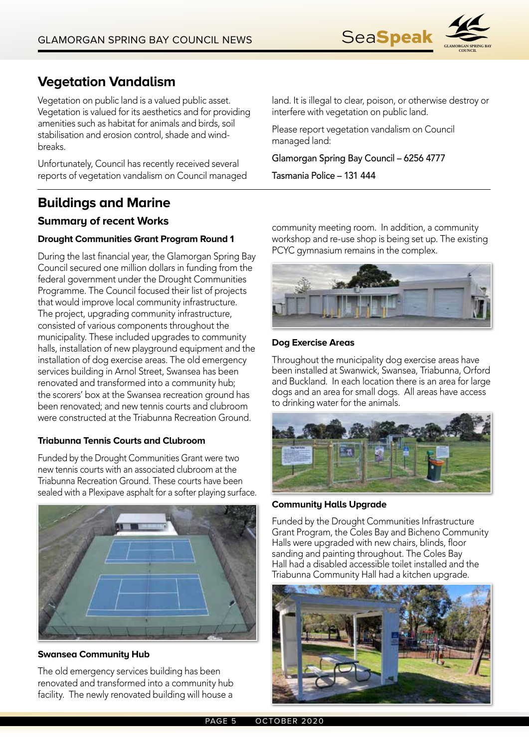

## **Vegetation Vandalism**

Vegetation on public land is a valued public asset. Vegetation is valued for its aesthetics and for providing amenities such as habitat for animals and birds, soil stabilisation and erosion control, shade and windbreaks.

Unfortunately, Council has recently received several reports of vegetation vandalism on Council managed

## **Buildings and Marine**

## **Summary of recent Works**

## **Drought Communities Grant Program Round 1**

During the last financial year, the Glamorgan Spring Bay Council secured one million dollars in funding from the federal government under the Drought Communities Programme. The Council focused their list of projects that would improve local community infrastructure. The project, upgrading community infrastructure, consisted of various components throughout the municipality. These included upgrades to community halls, installation of new playground equipment and the installation of dog exercise areas. The old emergency services building in Arnol Street, Swansea has been renovated and transformed into a community hub; the scorers' box at the Swansea recreation ground has been renovated; and new tennis courts and clubroom were constructed at the Triabunna Recreation Ground.

#### **Triabunna Tennis Courts and Clubroom**

Funded by the Drought Communities Grant were two new tennis courts with an associated clubroom at the Triabunna Recreation Ground. These courts have been sealed with a Plexipave asphalt for a softer playing surface.



#### **Swansea Community Hub**

The old emergency services building has been renovated and transformed into a community hub facility. The newly renovated building will house a land. It is illegal to clear, poison, or otherwise destroy or interfere with vegetation on public land.

Please report vegetation vandalism on Council managed land:

Glamorgan Spring Bay Council – 6256 4777

Tasmania Police – 131 444

community meeting room. In addition, a community workshop and re-use shop is being set up. The existing PCYC gymnasium remains in the complex.



#### **Dog Exercise Areas**

Throughout the municipality dog exercise areas have been installed at Swanwick, Swansea, Triabunna, Orford and Buckland. In each location there is an area for large dogs and an area for small dogs. All areas have access to drinking water for the animals.



#### **Community Halls Upgrade**

Funded by the Drought Communities Infrastructure Grant Program, the Coles Bay and Bicheno Community Halls were upgraded with new chairs, blinds, floor sanding and painting throughout. The Coles Bay Hall had a disabled accessible toilet installed and the Triabunna Community Hall had a kitchen upgrade.

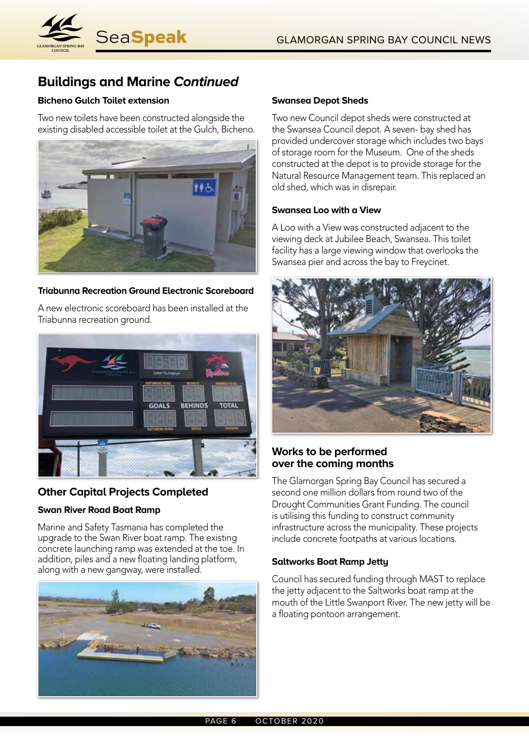

## **Buildings and Marine Continued**

## **Bicheno Gulch Toilet extension**

Two new toilets have been constructed alongside the existing disabled accessible toilet at the Gulch, Bicheno.



## **Triabunna Recreation Ground Electronic Scoreboard**

A new electronic scoreboard has been installed at the Triabunna recreation ground.



## **Other Capital Projects Completed**

## **Swan River Road Boat Ramp**

Marine and Safety Tasmania has completed the upgrade to the Swan River boat ramp. The existing concrete launching ramp was extended at the toe. In addition, piles and a new floating landing platform, along with a new gangway, were installed.



#### **Swansea Depot Sheds**

Two new Council depot sheds were constructed at the Swansea Council depot. A seven- bay shed has provided undercover storage which includes two bays of storage room for the Museum. One of the sheds constructed at the depot is to provide storage for the Natural Resource Management team. This replaced an old shed, which was in disrepair.

## **Swansea Loo with a View**

A Loo with a View was constructed adjacent to the viewing deck at Jubilee Beach, Swansea. This toilet facility has a large viewing window that overlooks the Swansea pier and across the bay to Freycinet.



## **Works to be performed over the coming months**

The Glamorgan Spring Bay Council has secured a second one million dollars from round two of the Drought Communities Grant Funding. The council is utilising this funding to construct community infrastructure across the municipality. These projects include concrete footpaths at various locations.

## **Saltworks Boat Ramp Jetty**

Council has secured funding through MAST to replace the jetty adjacent to the Saltworks boat ramp at the mouth of the Little Swanport River. The new jetty will be a floating pontoon arrangement.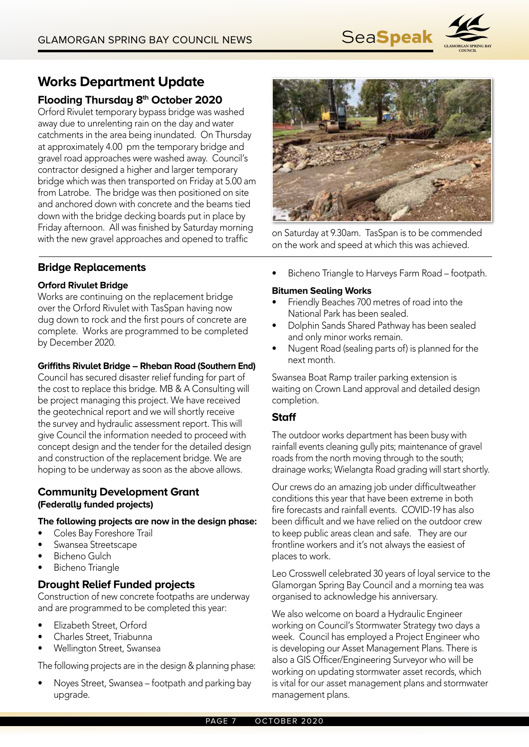

## **Works Department Update**

## **Flooding Thursday 8th October 2020**

Orford Rivulet temporary bypass bridge was washed away due to unrelenting rain on the day and water catchments in the area being inundated. On Thursday at approximately 4.00 pm the temporary bridge and gravel road approaches were washed away. Council's contractor designed a higher and larger temporary bridge which was then transported on Friday at 5.00 am from Latrobe. The bridge was then positioned on site and anchored down with concrete and the beams tied down with the bridge decking boards put in place by Friday afternoon. All was finished by Saturday morning with the new gravel approaches and opened to traffic on Saturday at 9.30am. TasSpan is to be commended with the new gravel approaches and opened to traffic



on the work and speed at which this was achieved.

## **Bridge Replacements**

## **Orford Rivulet Bridge**

Works are continuing on the replacement bridge over the Orford Rivulet with TasSpan having now dug down to rock and the first pours of concrete are complete. Works are programmed to be completed by December 2020.

## **Griffiths Rivulet Bridge – Rheban Road (Southern End)**

Council has secured disaster relief funding for part of the cost to replace this bridge. MB & A Consulting will be project managing this project. We have received the geotechnical report and we will shortly receive the survey and hydraulic assessment report. This will give Council the information needed to proceed with concept design and the tender for the detailed design and construction of the replacement bridge. We are hoping to be underway as soon as the above allows.

## **Community Development Grant (Federally funded projects)**

#### **The following projects are now in the design phase:**

- Coles Bay Foreshore Trail
- Swansea Streetscape
- Bicheno Gulch
- Bicheno Triangle

## **Drought Relief Funded projects**

Construction of new concrete footpaths are underway and are programmed to be completed this year:

- Elizabeth Street, Orford
- Charles Street, Triabunna
- Wellington Street, Swansea

The following projects are in the design & planning phase:

• Noyes Street, Swansea – footpath and parking bay upgrade.

• Bicheno Triangle to Harveys Farm Road – footpath.

## **Bitumen Sealing Works**

- Friendly Beaches 700 metres of road into the National Park has been sealed.
- Dolphin Sands Shared Pathway has been sealed and only minor works remain.
- Nugent Road (sealing parts of) is planned for the next month.

Swansea Boat Ramp trailer parking extension is waiting on Crown Land approval and detailed design completion.

## **Staff**

The outdoor works department has been busy with rainfall events cleaning gully pits; maintenance of gravel roads from the north moving through to the south; drainage works; Wielangta Road grading will start shortly.

Our crews do an amazing job under difficultweather conditions this year that have been extreme in both fire forecasts and rainfall events. COVID-19 has also been difficult and we have relied on the outdoor crew to keep public areas clean and safe. They are our frontline workers and it's not always the easiest of places to work.

Leo Crosswell celebrated 30 years of loyal service to the Glamorgan Spring Bay Council and a morning tea was organised to acknowledge his anniversary.

We also welcome on board a Hydraulic Engineer working on Council's Stormwater Strategy two days a week. Council has employed a Project Engineer who is developing our Asset Management Plans. There is also a GIS Officer/Engineering Surveyor who will be working on updating stormwater asset records, which is vital for our asset management plans and stormwater management plans.